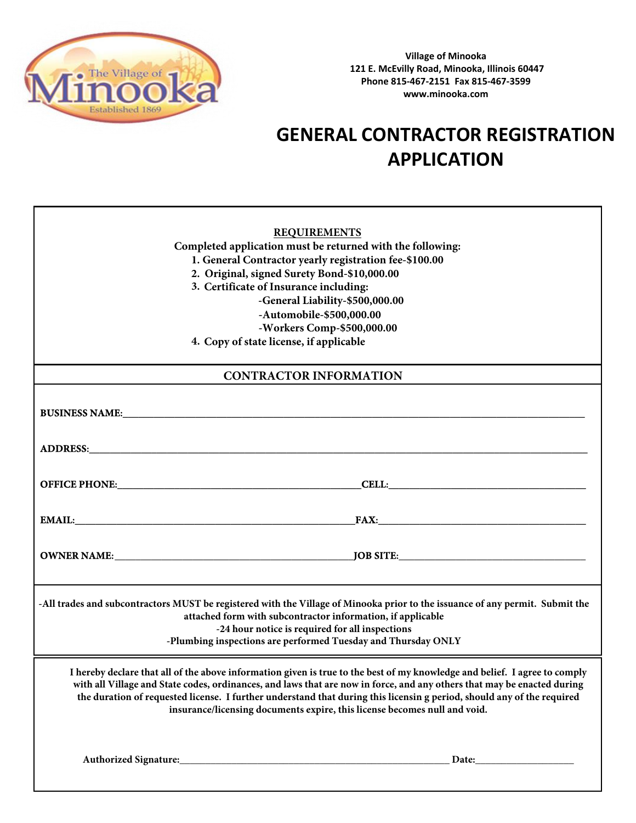

**Village of Minooka 121 E. McEvilly Road, Minooka, Illinois 60447 Phone 815-467-2151 Fax 815-467-3599 www.minooka.com**

## **GENERAL CONTRACTOR REGISTRATION APPLICATION**

| <b>REQUIREMENTS</b>                                                                                                                                                                                                                                                                                                                                                             |       |  |
|---------------------------------------------------------------------------------------------------------------------------------------------------------------------------------------------------------------------------------------------------------------------------------------------------------------------------------------------------------------------------------|-------|--|
| Completed application must be returned with the following:                                                                                                                                                                                                                                                                                                                      |       |  |
| 1. General Contractor yearly registration fee-\$100.00                                                                                                                                                                                                                                                                                                                          |       |  |
| 2. Original, signed Surety Bond-\$10,000.00                                                                                                                                                                                                                                                                                                                                     |       |  |
| 3. Certificate of Insurance including:                                                                                                                                                                                                                                                                                                                                          |       |  |
| -General Liability-\$500,000.00                                                                                                                                                                                                                                                                                                                                                 |       |  |
| -Automobile-\$500,000.00                                                                                                                                                                                                                                                                                                                                                        |       |  |
| -Workers Comp-\$500,000.00                                                                                                                                                                                                                                                                                                                                                      |       |  |
| 4. Copy of state license, if applicable                                                                                                                                                                                                                                                                                                                                         |       |  |
| <b>CONTRACTOR INFORMATION</b>                                                                                                                                                                                                                                                                                                                                                   |       |  |
|                                                                                                                                                                                                                                                                                                                                                                                 |       |  |
| <b>BUSINESS NAME:</b> National Accounts of the contract of the contract of the contract of the contract of the contract of the contract of the contract of the contract of the contract of the contract of the contract of the cont                                                                                                                                             |       |  |
|                                                                                                                                                                                                                                                                                                                                                                                 |       |  |
|                                                                                                                                                                                                                                                                                                                                                                                 |       |  |
|                                                                                                                                                                                                                                                                                                                                                                                 |       |  |
|                                                                                                                                                                                                                                                                                                                                                                                 |       |  |
|                                                                                                                                                                                                                                                                                                                                                                                 |       |  |
|                                                                                                                                                                                                                                                                                                                                                                                 |       |  |
|                                                                                                                                                                                                                                                                                                                                                                                 |       |  |
|                                                                                                                                                                                                                                                                                                                                                                                 |       |  |
|                                                                                                                                                                                                                                                                                                                                                                                 |       |  |
| -All trades and subcontractors MUST be registered with the Village of Minooka prior to the issuance of any permit. Submit the<br>attached form with subcontractor information, if applicable                                                                                                                                                                                    |       |  |
| -24 hour notice is required for all inspections                                                                                                                                                                                                                                                                                                                                 |       |  |
| -Plumbing inspections are performed Tuesday and Thursday ONLY                                                                                                                                                                                                                                                                                                                   |       |  |
|                                                                                                                                                                                                                                                                                                                                                                                 |       |  |
| I hereby declare that all of the above information given is true to the best of my knowledge and belief. I agree to comply<br>with all Village and State codes, ordinances, and laws that are now in force, and any others that may be enacted during<br>the duration of requested license. I further understand that during this licensin g period, should any of the required |       |  |
| insurance/licensing documents expire, this license becomes null and void.                                                                                                                                                                                                                                                                                                       |       |  |
|                                                                                                                                                                                                                                                                                                                                                                                 |       |  |
|                                                                                                                                                                                                                                                                                                                                                                                 |       |  |
|                                                                                                                                                                                                                                                                                                                                                                                 | Date: |  |
|                                                                                                                                                                                                                                                                                                                                                                                 |       |  |
|                                                                                                                                                                                                                                                                                                                                                                                 |       |  |